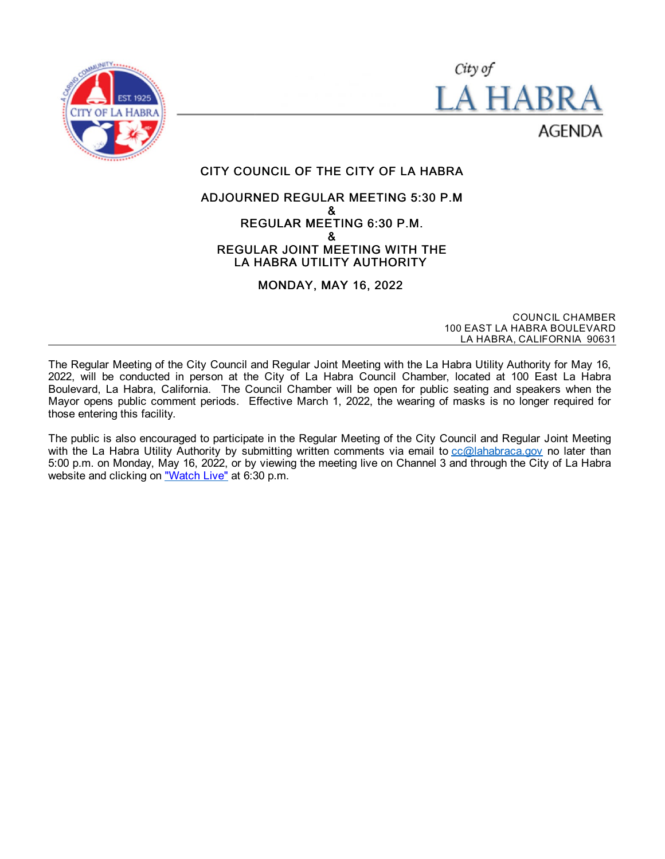



# CITY COUNCIL OF THE CITY OF LA HABRA

#### ADJOURNED REGULAR MEETING 5:30 P.M & REGULAR MEETING 6:30 P.M. & REGULAR JOINT MEETING WITH THE LA HABRA UTILITY AUTHORITY

# MONDAY, MAY 16, 2022

COUNCIL CHAMBER 100 EAST LA HABRA BOULEVARD LA HABRA, CALIFORNIA 90631

The Regular Meeting of the City Council and Regular Joint Meeting with the La Habra Utility Authority for May 16, 2022, will be conducted in person at the City of La Habra Council Chamber, located at 100 East La Habra Boulevard, La Habra, California. The Council Chamber will be open for public seating and speakers when the Mayor opens public comment periods. Effective March 1, 2022, the wearing of masks is no longer required for those entering this facility.

The public is also encouraged to participate in the Regular Meeting of the City Council and Regular Joint Meeting with the La Habra Utility Authority by submitting written comments via email to [cc@lahabraca.gov](mailto:cc@lahabraca.gov) no later than 5:00 p.m. on Monday, May 16, 2022, or by viewing the meeting live on Channel 3 and through the City of La Habra website and clicking on ["Watch](http://www.lahabraca.gov/356/Archived-Council-Videos) Live" at 6:30 p.m.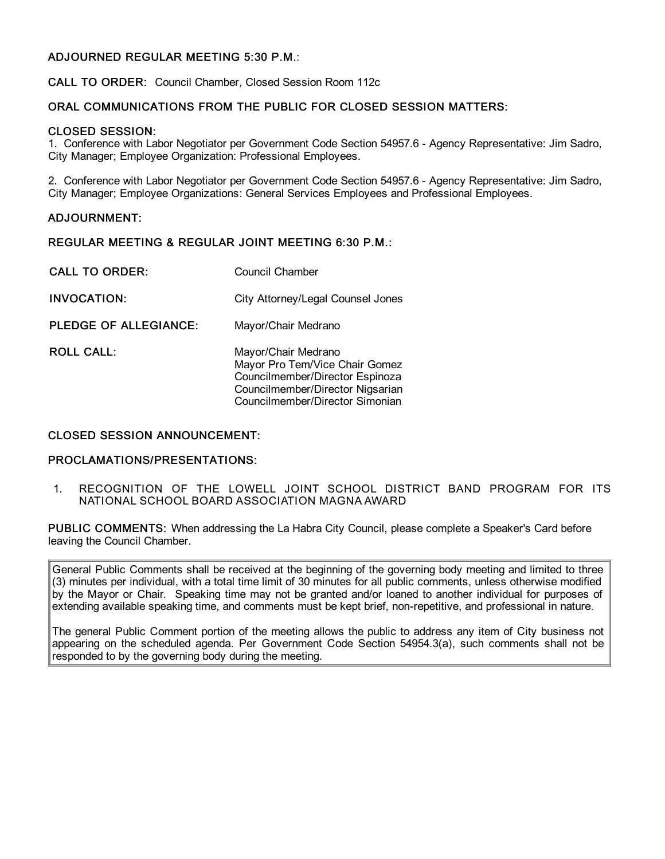# ADJOURNED REGULAR MEETING 5:30 P.M.:

CALL TO ORDER: Council Chamber, Closed Session Room 112c

#### ORAL COMMUNICATIONS FROM THE PUBLIC FOR CLOSED SESSION MATTERS:

#### CLOSED SESSION:

1. Conference with Labor Negotiator per Government Code Section 54957.6 - Agency Representative: Jim Sadro, City Manager; Employee Organization: Professional Employees.

2. Conference with Labor Negotiator per Government Code Section 54957.6 - Agency Representative: Jim Sadro, City Manager; Employee Organizations: General Services Employees and Professional Employees.

#### ADJOURNMENT:

#### REGULAR MEETING & REGULAR JOINT MEETING 6:30 P.M.:

| <b>CALL TO ORDER:</b> | Council Chamber                                                                                                                                                 |
|-----------------------|-----------------------------------------------------------------------------------------------------------------------------------------------------------------|
| <b>INVOCATION:</b>    | City Attorney/Legal Counsel Jones                                                                                                                               |
| PLEDGE OF ALLEGIANCE: | Mayor/Chair Medrano                                                                                                                                             |
| ROLL CALL:            | Mayor/Chair Medrano<br>Mayor Pro Tem/Vice Chair Gomez<br>Councilmember/Director Espinoza<br>Councilmember/Director Nigsarian<br>Councilmember/Director Simonian |

#### CLOSED SESSION ANNOUNCEMENT:

# PROCLAMATIONS/PRESENTATIONS:

1. RECOGNITION OF THE LOWELL JOINT SCHOOL DISTRICT BAND PROGRAM FOR ITS NATIONAL SCHOOL BOARD ASSOCIATION MAGNA AWARD

PUBLIC COMMENTS: When addressing the La Habra City Council, please complete a Speaker's Card before leaving the Council Chamber.

General Public Comments shall be received at the beginning of the governing body meeting and limited to three (3) minutes per individual, with a total time limit of 30 minutes for all public comments, unless otherwise modified by the Mayor or Chair. Speaking time may not be granted and/or loaned to another individual for purposes of extending available speaking time, and comments must be kept brief, non-repetitive, and professional in nature.

The general Public Comment portion of the meeting allows the public to address any item of City business not appearing on the scheduled agenda. Per Government Code Section 54954.3(a), such comments shall not be responded to by the governing body during the meeting.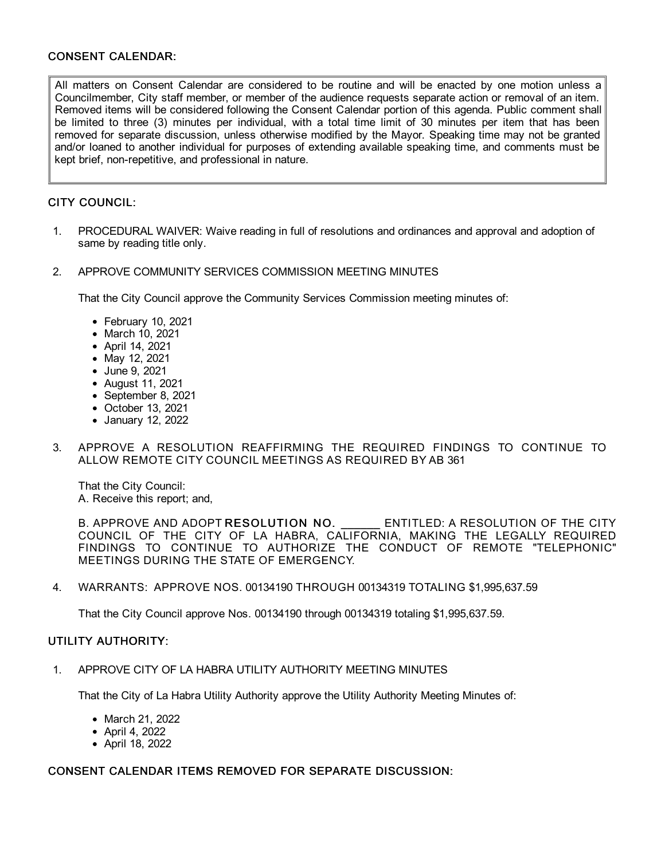# CONSENT CALENDAR:

All matters on Consent Calendar are considered to be routine and will be enacted by one motion unless a Councilmember, City staff member, or member of the audience requests separate action or removal of an item. Removed items will be considered following the Consent Calendar portion of this agenda. Public comment shall be limited to three (3) minutes per individual, with a total time limit of 30 minutes per item that has been removed for separate discussion, unless otherwise modified by the Mayor. Speaking time may not be granted and/or loaned to another individual for purposes of extending available speaking time, and comments must be kept brief, non-repetitive, and professional in nature.

# CITY COUNCIL:

- 1. PROCEDURAL WAIVER: Waive reading in full of resolutions and ordinances and approval and adoption of same by reading title only.
- 2. APPROVE COMMUNITY SERVICES COMMISSION MEETING MINUTES

That the City Council approve the Community Services Commission meeting minutes of:

- February 10, 2021
- March 10, 2021
- April 14, 2021
- May 12, 2021
- June 9, 2021
- August 11, 2021
- September 8, 2021
- October 13, 2021
- January 12, 2022
- 3. APPROVE A RESOLUTION REAFFIRMING THE REQUIRED FINDINGS TO CONTINUE TO ALLOW REMOTE CITY COUNCIL MEETINGS AS REQUIRED BY AB 361

That the City Council: A. Receive this report; and,

B. APPROVE AND ADOPT RESOLUTION NO. ENTITLED: A RESOLUTION OF THE CITY COUNCIL OF THE CITY OF LA HABRA, CALIFORNIA, MAKING THE LEGALLY REQUIRED FINDINGS TO CONTINUE TO AUTHORIZE THE CONDUCT OF REMOTE "TELEPHONIC" MEETINGS DURING THE STATE OF EMERGENCY.

4. WARRANTS: APPROVE NOS. 00134190 THROUGH 00134319 TOTALING \$1,995,637.59

That the City Council approve Nos. 00134190 through 00134319 totaling \$1,995,637.59.

# UTILITY AUTHORITY:

1. APPROVE CITY OF LA HABRA UTILITY AUTHORITY MEETING MINUTES

That the City of La Habra Utility Authority approve the Utility Authority Meeting Minutes of:

- March 21, 2022
- April 4, 2022
- April 18, 2022

# CONSENT CALENDAR ITEMS REMOVED FOR SEPARATE DISCUSSION: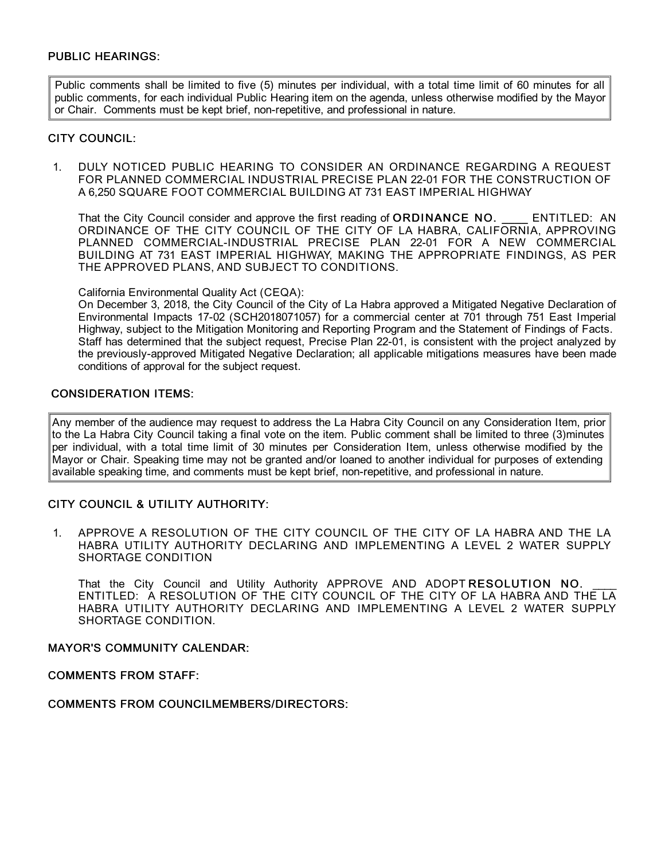# PUBLIC HEARINGS:

Public comments shall be limited to five (5) minutes per individual, with a total time limit of 60 minutes for all public comments, for each individual Public Hearing item on the agenda, unless otherwise modified by the Mayor or Chair. Comments must be kept brief, non-repetitive, and professional in nature.

# CITY COUNCIL:

1. DULY NOTICED PUBLIC HEARING TO CONSIDER AN ORDINANCE REGARDING A REQUEST FOR PLANNED COMMERCIAL INDUSTRIAL PRECISE PLAN 22-01 FOR THE CONSTRUCTION OF A 6,250 SQUARE FOOT COMMERCIAL BUILDING AT 731 EAST IMPERIAL HIGHWAY

That the City Council consider and approve the first reading of ORDINANCE NO. ENTITLED: AN ORDINANCE OF THE CITY COUNCIL OF THE CITY OF LA HABRA, CALIFORNIA, APPROVING PLANNED COMMERCIAL-INDUSTRIAL PRECISE PLAN 22-01 FOR A NEW COMMERCIAL BUILDING AT 731 EAST IMPERIAL HIGHWAY, MAKING THE APPROPRIATE FINDINGS, AS PER THE APPROVED PLANS, AND SUBJECT TO CONDITIONS.

California Environmental Quality Act (CEQA):

On December 3, 2018, the City Council of the City of La Habra approved a Mitigated Negative Declaration of Environmental Impacts 17-02 (SCH2018071057) for a commercial center at 701 through 751 East Imperial Highway, subject to the Mitigation Monitoring and Reporting Program and the Statement of Findings of Facts. Staff has determined that the subject request, Precise Plan 22-01, is consistent with the project analyzed by the previously-approved Mitigated Negative Declaration; all applicable mitigations measures have been made conditions of approval for the subject request.

#### CONSIDERATION ITEMS:

Any member of the audience may request to address the La Habra City Council on any Consideration Item, prior to the La Habra City Council taking a final vote on the item. Public comment shall be limited to three (3)minutes per individual, with a total time limit of 30 minutes per Consideration Item, unless otherwise modified by the Mayor or Chair. Speaking time may not be granted and/or loaned to another individual for purposes of extending available speaking time, and comments must be kept brief, non-repetitive, and professional in nature.

# CITY COUNCIL & UTILITY AUTHORITY:

1. APPROVE A RESOLUTION OF THE CITY COUNCIL OF THE CITY OF LA HABRA AND THE LA HABRA UTILITY AUTHORITY DECLARING AND IMPLEMENTING A LEVEL 2 WATER SUPPLY SHORTAGE CONDITION

That the City Council and Utility Authority APPROVE AND ADOPT RESOLUTION NO. ENTITLED: A RESOLUTION OF THE CITY COUNCIL OF THE CITY OF LA HABRA AND THE LA HABRA UTILITY AUTHORITY DECLARING AND IMPLEMENTING A LEVEL 2 WATER SUPPLY SHORTAGE CONDITION.

#### MAYOR'S COMMUNITY CALENDAR:

COMMENTS FROM STAFF:

# COMMENTS FROM COUNCILMEMBERS/DIRECTORS: